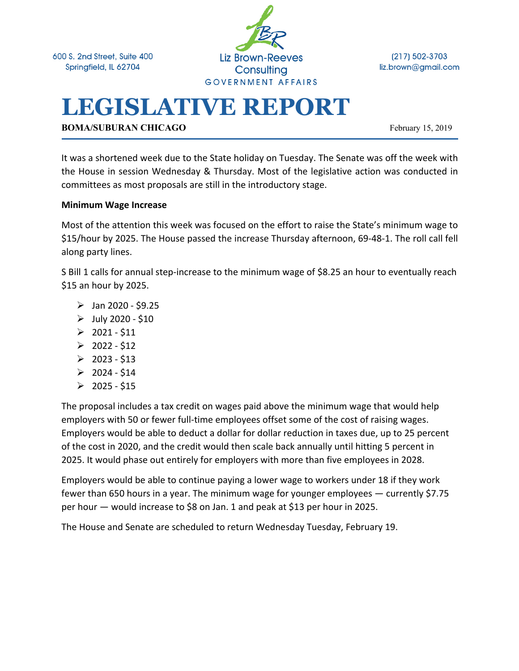600 S. 2nd Street, Suite 400 Springfield, IL 62704



(217) 502-3703 liz.brown@gmail.com

# **LEGISLATIVE REPORT**

**BOMA/SUBURAN CHICAGO** February 15, 2019

It was a shortened week due to the State holiday on Tuesday. The Senate was off the week with the House in session Wednesday & Thursday. Most of the legislative action was conducted in committees as most proposals are still in the introductory stage.

#### **Minimum Wage Increase**

Most of the attention this week was focused on the effort to raise the State's minimum wage to \$15/hour by 2025. The House passed the increase Thursday afternoon, 69-48-1. The roll call fell along party lines.

S Bill 1 calls for annual step-increase to the minimum wage of \$8.25 an hour to eventually reach \$15 an hour by 2025.

- $\triangleright$  Jan 2020 \$9.25
- $\triangleright$  July 2020 \$10
- $\geq 2021 511$
- $\geq 2022 512$
- $\geq 2023 $13$
- $\geq 2024 $14$
- $\geq 2025 $15$

The proposal includes a tax credit on wages paid above the minimum wage that would help employers with 50 or fewer full-time employees offset some of the cost of raising wages. Employers would be able to deduct a dollar for dollar reduction in taxes due, up to 25 percent of the cost in 2020, and the credit would then scale back annually until hitting 5 percent in 2025. It would phase out entirely for employers with more than five employees in 2028.

Employers would be able to continue paying a lower wage to workers under 18 if they work fewer than 650 hours in a year. The minimum wage for younger employees — currently \$7.75 per hour — would increase to \$8 on Jan. 1 and peak at \$13 per hour in 2025.

The House and Senate are scheduled to return Wednesday Tuesday, February 19.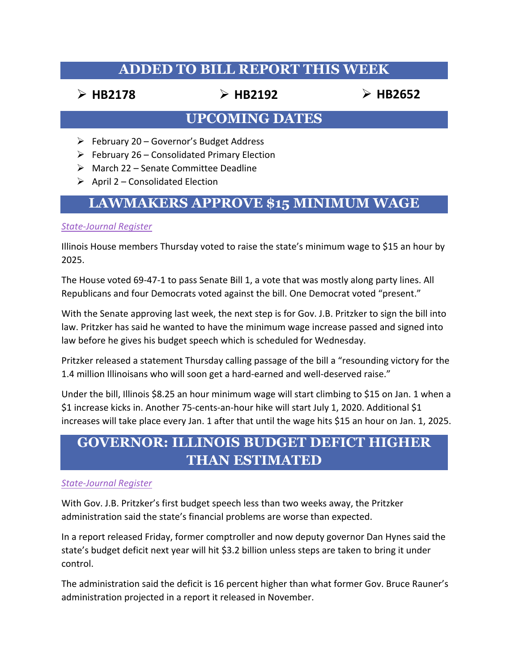## **ADDED TO BILL REPORT THIS WEEK**

Ø **HB2178** Ø **HB2192** Ø **HB2652**

#### **UPCOMING DATES**

- $\triangleright$  February 20 Governor's Budget Address
- $\triangleright$  February 26 Consolidated Primary Election
- $\triangleright$  March 22 Senate Committee Deadline
- $\triangleright$  April 2 Consolidated Election

## **LAWMAKERS APPROVE \$15 MINIMUM WAGE**

#### *State-Journal Register*

Illinois House members Thursday voted to raise the state's minimum wage to \$15 an hour by 2025.

The House voted 69-47-1 to pass Senate Bill 1, a vote that was mostly along party lines. All Republicans and four Democrats voted against the bill. One Democrat voted "present."

With the Senate approving last week, the next step is for Gov. J.B. Pritzker to sign the bill into law. Pritzker has said he wanted to have the minimum wage increase passed and signed into law before he gives his budget speech which is scheduled for Wednesday.

Pritzker released a statement Thursday calling passage of the bill a "resounding victory for the 1.4 million Illinoisans who will soon get a hard-earned and well-deserved raise."

Under the bill, Illinois \$8.25 an hour minimum wage will start climbing to \$15 on Jan. 1 when a \$1 increase kicks in. Another 75-cents-an-hour hike will start July 1, 2020. Additional \$1 increases will take place every Jan. 1 after that until the wage hits \$15 an hour on Jan. 1, 2025.

## **GOVERNOR: ILLINOIS BUDGET DEFICT HIGHER THAN ESTIMATED**

#### *State-Journal Register*

With Gov. J.B. Pritzker's first budget speech less than two weeks away, the Pritzker administration said the state's financial problems are worse than expected.

In a report released Friday, former comptroller and now deputy governor Dan Hynes said the state's budget deficit next year will hit \$3.2 billion unless steps are taken to bring it under control.

The administration said the deficit is 16 percent higher than what former Gov. Bruce Rauner's administration projected in a report it released in November.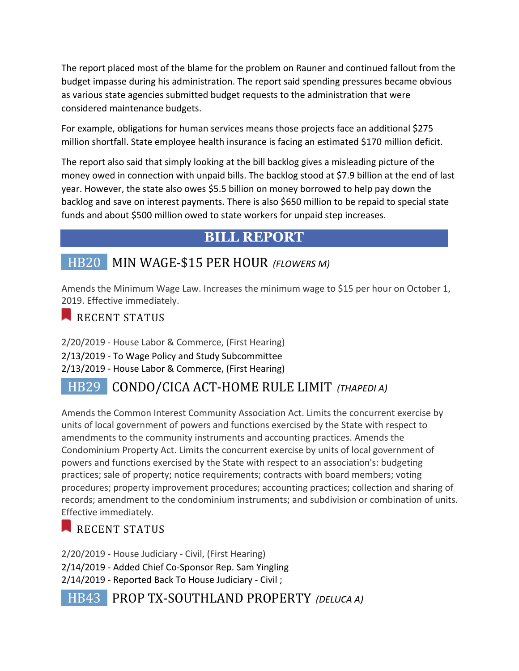The report placed most of the blame for the problem on Rauner and continued fallout from the budget impasse during his administration. The report said spending pressures became obvious as various state agencies submitted budget requests to the administration that were considered maintenance budgets.

For example, obligations for human services means those projects face an additional \$275 million shortfall. State employee health insurance is facing an estimated \$170 million deficit.

The report also said that simply looking at the bill backlog gives a misleading picture of the money owed in connection with unpaid bills. The backlog stood at \$7.9 billion at the end of last year. However, the state also owes \$5.5 billion on money borrowed to help pay down the backlog and save on interest payments. There is also \$650 million to be repaid to special state funds and about \$500 million owed to state workers for unpaid step increases.

## **BILL REPORT**

## HB20 MIN WAGE-\$15 PER HOUR *(FLOWERS M)*

Amends the Minimum Wage Law. Increases the minimum wage to \$15 per hour on October 1, 2019. Effective immediately.

#### RECENT STATUS

2/20/2019 - House Labor & Commerce, (First Hearing) 2/13/2019 - To Wage Policy and Study Subcommittee 2/13/2019 - House Labor & Commerce, (First Hearing)

## HB29 **CONDO/CICA ACT-HOME RULE LIMIT** *(THAPEDI A)*

Amends the Common Interest Community Association Act. Limits the concurrent exercise by units of local government of powers and functions exercised by the State with respect to amendments to the community instruments and accounting practices. Amends the Condominium Property Act. Limits the concurrent exercise by units of local government of powers and functions exercised by the State with respect to an association's: budgeting practices; sale of property; notice requirements; contracts with board members; voting procedures; property improvement procedures; accounting practices; collection and sharing of records; amendment to the condominium instruments; and subdivision or combination of units. Effective immediately.

## RECENT STATUS

2/20/2019 - House Judiciary - Civil, (First Hearing) 2/14/2019 - Added Chief Co-Sponsor Rep. Sam Yingling 2/14/2019 - Reported Back To House Judiciary - Civil ;

 HB43 PROP TX-SOUTHLAND PROPERTY *(DELUCA A)*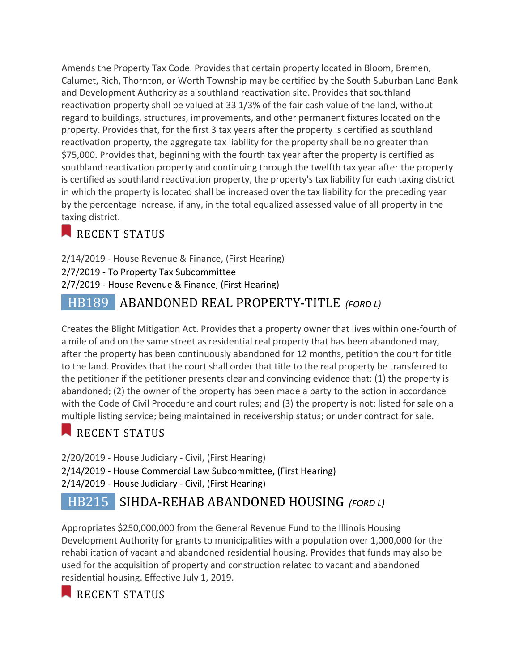Amends the Property Tax Code. Provides that certain property located in Bloom, Bremen, Calumet, Rich, Thornton, or Worth Township may be certified by the South Suburban Land Bank and Development Authority as a southland reactivation site. Provides that southland reactivation property shall be valued at 33 1/3% of the fair cash value of the land, without regard to buildings, structures, improvements, and other permanent fixtures located on the property. Provides that, for the first 3 tax years after the property is certified as southland reactivation property, the aggregate tax liability for the property shall be no greater than \$75,000. Provides that, beginning with the fourth tax year after the property is certified as southland reactivation property and continuing through the twelfth tax year after the property is certified as southland reactivation property, the property's tax liability for each taxing district in which the property is located shall be increased over the tax liability for the preceding year by the percentage increase, if any, in the total equalized assessed value of all property in the taxing district.

#### RECENT STATUS

2/14/2019 - House Revenue & Finance, (First Hearing) 2/7/2019 - To Property Tax Subcommittee 2/7/2019 - House Revenue & Finance, (First Hearing)

### HB189 ABANDONED REAL PROPERTY-TITLE *(FORD L)*

Creates the Blight Mitigation Act. Provides that a property owner that lives within one-fourth of a mile of and on the same street as residential real property that has been abandoned may, after the property has been continuously abandoned for 12 months, petition the court for title to the land. Provides that the court shall order that title to the real property be transferred to the petitioner if the petitioner presents clear and convincing evidence that: (1) the property is abandoned; (2) the owner of the property has been made a party to the action in accordance with the Code of Civil Procedure and court rules; and (3) the property is not: listed for sale on a multiple listing service; being maintained in receivership status; or under contract for sale.

#### RECENT STATUS

2/20/2019 - House Judiciary - Civil, (First Hearing) 2/14/2019 - House Commercial Law Subcommittee, (First Hearing) 2/14/2019 - House Judiciary - Civil, (First Hearing)

## HB215 \$IHDA-REHAB ABANDONED HOUSING *(FORD L)*

Appropriates \$250,000,000 from the General Revenue Fund to the Illinois Housing Development Authority for grants to municipalities with a population over 1,000,000 for the rehabilitation of vacant and abandoned residential housing. Provides that funds may also be used for the acquisition of property and construction related to vacant and abandoned residential housing. Effective July 1, 2019.

RECENT STATUS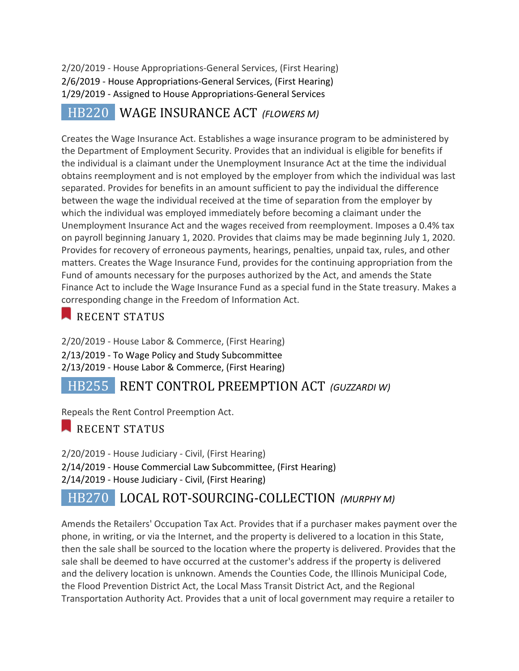2/20/2019 - House Appropriations-General Services, (First Hearing) 2/6/2019 - House Appropriations-General Services, (First Hearing) 1/29/2019 - Assigned to House Appropriations-General Services

 HB220 WAGE INSURANCE ACT *(FLOWERS M)*

Creates the Wage Insurance Act. Establishes a wage insurance program to be administered by the Department of Employment Security. Provides that an individual is eligible for benefits if the individual is a claimant under the Unemployment Insurance Act at the time the individual obtains reemployment and is not employed by the employer from which the individual was last separated. Provides for benefits in an amount sufficient to pay the individual the difference between the wage the individual received at the time of separation from the employer by which the individual was employed immediately before becoming a claimant under the Unemployment Insurance Act and the wages received from reemployment. Imposes a 0.4% tax on payroll beginning January 1, 2020. Provides that claims may be made beginning July 1, 2020. Provides for recovery of erroneous payments, hearings, penalties, unpaid tax, rules, and other matters. Creates the Wage Insurance Fund, provides for the continuing appropriation from the Fund of amounts necessary for the purposes authorized by the Act, and amends the State Finance Act to include the Wage Insurance Fund as a special fund in the State treasury. Makes a corresponding change in the Freedom of Information Act.

#### RECENT STATUS

2/20/2019 - House Labor & Commerce, (First Hearing) 2/13/2019 - To Wage Policy and Study Subcommittee 2/13/2019 - House Labor & Commerce, (First Hearing)

## **HB255** RENT CONTROL PREEMPTION ACT *(GUZZARDI W)*

Repeals the Rent Control Preemption Act.

#### RECENT STATUS

2/20/2019 - House Judiciary - Civil, (First Hearing) 2/14/2019 - House Commercial Law Subcommittee, (First Hearing) 2/14/2019 - House Judiciary - Civil, (First Hearing)

## HB270 LOCAL ROT-SOURCING-COLLECTION *(MURPHY M)*

Amends the Retailers' Occupation Tax Act. Provides that if a purchaser makes payment over the phone, in writing, or via the Internet, and the property is delivered to a location in this State, then the sale shall be sourced to the location where the property is delivered. Provides that the sale shall be deemed to have occurred at the customer's address if the property is delivered and the delivery location is unknown. Amends the Counties Code, the Illinois Municipal Code, the Flood Prevention District Act, the Local Mass Transit District Act, and the Regional Transportation Authority Act. Provides that a unit of local government may require a retailer to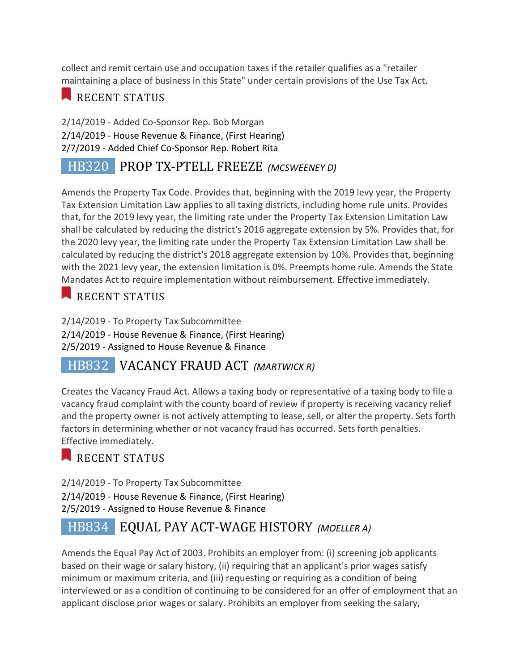collect and remit certain use and occupation taxes if the retailer qualifies as a "retailer maintaining a place of business in this State" under certain provisions of the Use Tax Act.

## RECENT STATUS

2/14/2019 - Added Co-Sponsor Rep. Bob Morgan 2/14/2019 - House Revenue & Finance, (First Hearing) 2/7/2019 - Added Chief Co-Sponsor Rep. Robert Rita

## HB320 PROP TX-PTELL FREEZE *(MCSWEENEY D)*

Amends the Property Tax Code. Provides that, beginning with the 2019 levy year, the Property Tax Extension Limitation Law applies to all taxing districts, including home rule units. Provides that, for the 2019 levy year, the limiting rate under the Property Tax Extension Limitation Law shall be calculated by reducing the district's 2016 aggregate extension by 5%. Provides that, for the 2020 levy year, the limiting rate under the Property Tax Extension Limitation Law shall be calculated by reducing the district's 2018 aggregate extension by 10%. Provides that, beginning with the 2021 levy year, the extension limitation is 0%. Preempts home rule. Amends the State Mandates Act to require implementation without reimbursement. Effective immediately.

## RECENT STATUS

2/14/2019 - To Property Tax Subcommittee 2/14/2019 - House Revenue & Finance, (First Hearing) 2/5/2019 - Assigned to House Revenue & Finance

## **HB832 VACANCY FRAUD ACT** *(MARTWICK R)*

Creates the Vacancy Fraud Act. Allows a taxing body or representative of a taxing body to file a vacancy fraud complaint with the county board of review if property is receiving vacancy relief and the property owner is not actively attempting to lease, sell, or alter the property. Sets forth factors in determining whether or not vacancy fraud has occurred. Sets forth penalties. Effective immediately.

## RECENT STATUS

2/14/2019 - To Property Tax Subcommittee 2/14/2019 - House Revenue & Finance, (First Hearing) 2/5/2019 - Assigned to House Revenue & Finance

## HB834 EQUAL PAY ACT-WAGE HISTORY *(MOELLER A)*

Amends the Equal Pay Act of 2003. Prohibits an employer from: (i) screening job applicants based on their wage or salary history, (ii) requiring that an applicant's prior wages satisfy minimum or maximum criteria, and (iii) requesting or requiring as a condition of being interviewed or as a condition of continuing to be considered for an offer of employment that an applicant disclose prior wages or salary. Prohibits an employer from seeking the salary,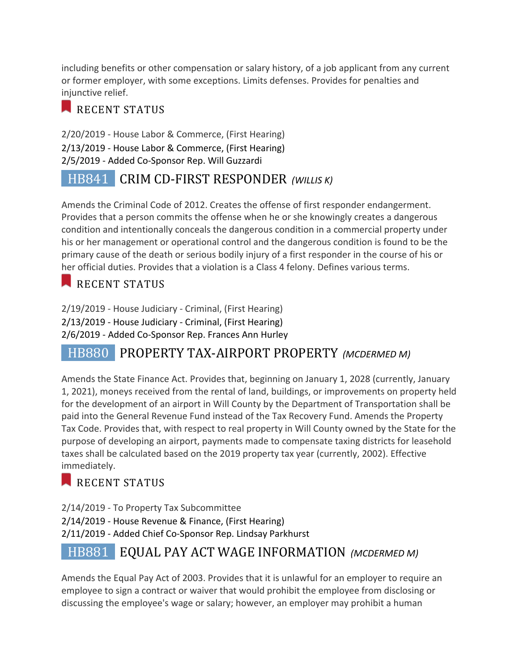including benefits or other compensation or salary history, of a job applicant from any current or former employer, with some exceptions. Limits defenses. Provides for penalties and injunctive relief.

#### RECENT STATUS

2/20/2019 - House Labor & Commerce, (First Hearing) 2/13/2019 - House Labor & Commerce, (First Hearing) 2/5/2019 - Added Co-Sponsor Rep. Will Guzzardi

## HB841 **CRIM CD-FIRST RESPONDER** (WILLIS Κ)

Amends the Criminal Code of 2012. Creates the offense of first responder endangerment. Provides that a person commits the offense when he or she knowingly creates a dangerous condition and intentionally conceals the dangerous condition in a commercial property under his or her management or operational control and the dangerous condition is found to be the primary cause of the death or serious bodily injury of a first responder in the course of his or her official duties. Provides that a violation is a Class 4 felony. Defines various terms.

## RECENT STATUS

2/19/2019 - House Judiciary - Criminal, (First Hearing) 2/13/2019 - House Judiciary - Criminal, (First Hearing) 2/6/2019 - Added Co-Sponsor Rep. Frances Ann Hurley

## HB880 PROPERTY TAX-AIRPORT PROPERTY *(MCDERMED M)*

Amends the State Finance Act. Provides that, beginning on January 1, 2028 (currently, January 1, 2021), moneys received from the rental of land, buildings, or improvements on property held for the development of an airport in Will County by the Department of Transportation shall be paid into the General Revenue Fund instead of the Tax Recovery Fund. Amends the Property Tax Code. Provides that, with respect to real property in Will County owned by the State for the purpose of developing an airport, payments made to compensate taxing districts for leasehold taxes shall be calculated based on the 2019 property tax year (currently, 2002). Effective immediately.

## RECENT STATUS

2/14/2019 - To Property Tax Subcommittee 2/14/2019 - House Revenue & Finance, (First Hearing) 2/11/2019 - Added Chief Co-Sponsor Rep. Lindsay Parkhurst

## HB881 EQUAL PAY ACT WAGE INFORMATION *(MCDERMED M)*

Amends the Equal Pay Act of 2003. Provides that it is unlawful for an employer to require an employee to sign a contract or waiver that would prohibit the employee from disclosing or discussing the employee's wage or salary; however, an employer may prohibit a human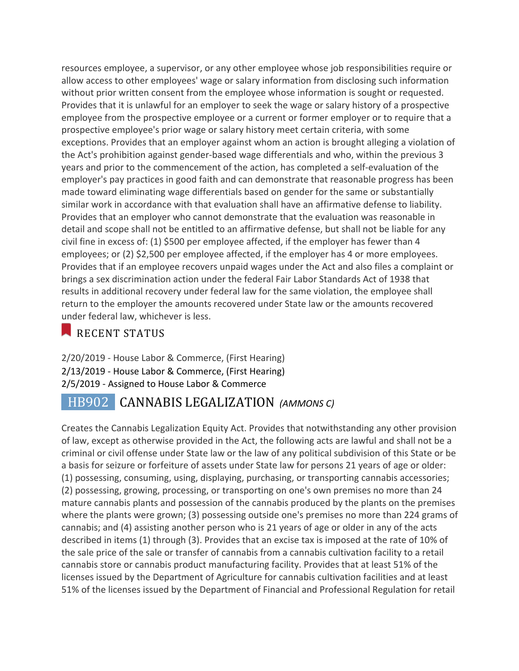resources employee, a supervisor, or any other employee whose job responsibilities require or allow access to other employees' wage or salary information from disclosing such information without prior written consent from the employee whose information is sought or requested. Provides that it is unlawful for an employer to seek the wage or salary history of a prospective employee from the prospective employee or a current or former employer or to require that a prospective employee's prior wage or salary history meet certain criteria, with some exceptions. Provides that an employer against whom an action is brought alleging a violation of the Act's prohibition against gender-based wage differentials and who, within the previous 3 years and prior to the commencement of the action, has completed a self-evaluation of the employer's pay practices in good faith and can demonstrate that reasonable progress has been made toward eliminating wage differentials based on gender for the same or substantially similar work in accordance with that evaluation shall have an affirmative defense to liability. Provides that an employer who cannot demonstrate that the evaluation was reasonable in detail and scope shall not be entitled to an affirmative defense, but shall not be liable for any civil fine in excess of: (1) \$500 per employee affected, if the employer has fewer than 4 employees; or (2) \$2,500 per employee affected, if the employer has 4 or more employees. Provides that if an employee recovers unpaid wages under the Act and also files a complaint or brings a sex discrimination action under the federal Fair Labor Standards Act of 1938 that results in additional recovery under federal law for the same violation, the employee shall return to the employer the amounts recovered under State law or the amounts recovered under federal law, whichever is less.

#### RECENT STATUS

2/20/2019 - House Labor & Commerce, (First Hearing) 2/13/2019 - House Labor & Commerce, (First Hearing) 2/5/2019 - Assigned to House Labor & Commerce

## HB902 CANNABIS LEGALIZATION *(AMMONS C)*

Creates the Cannabis Legalization Equity Act. Provides that notwithstanding any other provision of law, except as otherwise provided in the Act, the following acts are lawful and shall not be a criminal or civil offense under State law or the law of any political subdivision of this State or be a basis for seizure or forfeiture of assets under State law for persons 21 years of age or older: (1) possessing, consuming, using, displaying, purchasing, or transporting cannabis accessories; (2) possessing, growing, processing, or transporting on one's own premises no more than 24 mature cannabis plants and possession of the cannabis produced by the plants on the premises where the plants were grown; (3) possessing outside one's premises no more than 224 grams of cannabis; and (4) assisting another person who is 21 years of age or older in any of the acts described in items (1) through (3). Provides that an excise tax is imposed at the rate of 10% of the sale price of the sale or transfer of cannabis from a cannabis cultivation facility to a retail cannabis store or cannabis product manufacturing facility. Provides that at least 51% of the licenses issued by the Department of Agriculture for cannabis cultivation facilities and at least 51% of the licenses issued by the Department of Financial and Professional Regulation for retail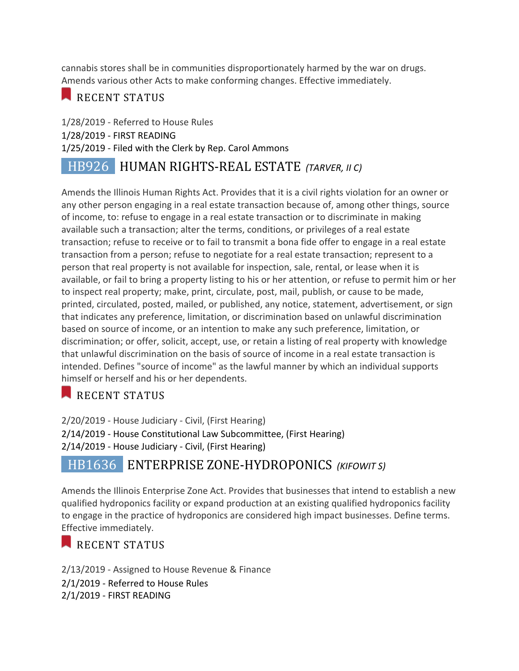cannabis stores shall be in communities disproportionately harmed by the war on drugs. Amends various other Acts to make conforming changes. Effective immediately.

### RECENT STATUS

1/28/2019 - Referred to House Rules 1/28/2019 - FIRST READING 1/25/2019 - Filed with the Clerk by Rep. Carol Ammons

## HB926 HUMAN RIGHTS-REAL ESTATE *(TARVER, II C)*

Amends the Illinois Human Rights Act. Provides that it is a civil rights violation for an owner or any other person engaging in a real estate transaction because of, among other things, source of income, to: refuse to engage in a real estate transaction or to discriminate in making available such a transaction; alter the terms, conditions, or privileges of a real estate transaction; refuse to receive or to fail to transmit a bona fide offer to engage in a real estate transaction from a person; refuse to negotiate for a real estate transaction; represent to a person that real property is not available for inspection, sale, rental, or lease when it is available, or fail to bring a property listing to his or her attention, or refuse to permit him or her to inspect real property; make, print, circulate, post, mail, publish, or cause to be made, printed, circulated, posted, mailed, or published, any notice, statement, advertisement, or sign that indicates any preference, limitation, or discrimination based on unlawful discrimination based on source of income, or an intention to make any such preference, limitation, or discrimination; or offer, solicit, accept, use, or retain a listing of real property with knowledge that unlawful discrimination on the basis of source of income in a real estate transaction is intended. Defines "source of income" as the lawful manner by which an individual supports himself or herself and his or her dependents.

## RECENT STATUS

2/20/2019 - House Judiciary - Civil, (First Hearing) 2/14/2019 - House Constitutional Law Subcommittee, (First Hearing) 2/14/2019 - House Judiciary - Civil, (First Hearing)

## HB1636 **ENTERPRISE ZONE-HYDROPONICS** (KIFOWIT S)

Amends the Illinois Enterprise Zone Act. Provides that businesses that intend to establish a new qualified hydroponics facility or expand production at an existing qualified hydroponics facility to engage in the practice of hydroponics are considered high impact businesses. Define terms. Effective immediately.

#### RECENT STATUS

2/13/2019 - Assigned to House Revenue & Finance 2/1/2019 - Referred to House Rules 2/1/2019 - FIRST READING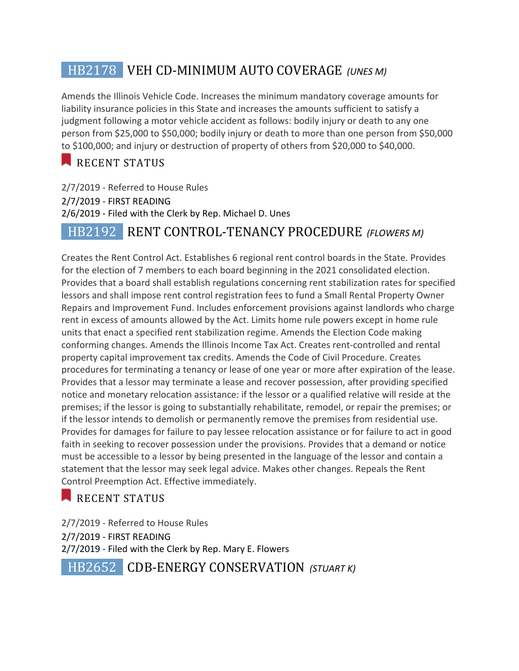## **HB2178** VEH CD-MINIMUM AUTO COVERAGE (UNES M)

Amends the Illinois Vehicle Code. Increases the minimum mandatory coverage amounts for liability insurance policies in this State and increases the amounts sufficient to satisfy a judgment following a motor vehicle accident as follows: bodily injury or death to any one person from \$25,000 to \$50,000; bodily injury or death to more than one person from \$50,000 to \$100,000; and injury or destruction of property of others from \$20,000 to \$40,000.

## RECENT STATUS

2/7/2019 - Referred to House Rules 2/7/2019 - FIRST READING 2/6/2019 - Filed with the Clerk by Rep. Michael D. Unes

## HB2192 **RENT CONTROL-TENANCY PROCEDURE** *(FLOWERS M)*

Creates the Rent Control Act. Establishes 6 regional rent control boards in the State. Provides for the election of 7 members to each board beginning in the 2021 consolidated election. Provides that a board shall establish regulations concerning rent stabilization rates for specified lessors and shall impose rent control registration fees to fund a Small Rental Property Owner Repairs and Improvement Fund. Includes enforcement provisions against landlords who charge rent in excess of amounts allowed by the Act. Limits home rule powers except in home rule units that enact a specified rent stabilization regime. Amends the Election Code making conforming changes. Amends the Illinois Income Tax Act. Creates rent-controlled and rental property capital improvement tax credits. Amends the Code of Civil Procedure. Creates procedures for terminating a tenancy or lease of one year or more after expiration of the lease. Provides that a lessor may terminate a lease and recover possession, after providing specified notice and monetary relocation assistance: if the lessor or a qualified relative will reside at the premises; if the lessor is going to substantially rehabilitate, remodel, or repair the premises; or if the lessor intends to demolish or permanently remove the premises from residential use. Provides for damages for failure to pay lessee relocation assistance or for failure to act in good faith in seeking to recover possession under the provisions. Provides that a demand or notice must be accessible to a lessor by being presented in the language of the lessor and contain a statement that the lessor may seek legal advice. Makes other changes. Repeals the Rent Control Preemption Act. Effective immediately.

#### RECENT STATUS

2/7/2019 - Referred to House Rules 2/7/2019 - FIRST READING 2/7/2019 - Filed with the Clerk by Rep. Mary E. Flowers HB2652 **CDB-ENERGY CONSERVATION** *(STUART K)*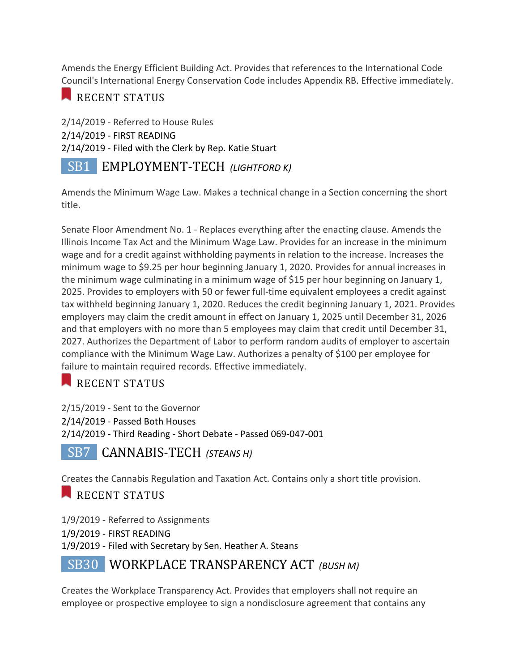Amends the Energy Efficient Building Act. Provides that references to the International Code Council's International Energy Conservation Code includes Appendix RB. Effective immediately.

### RECENT STATUS

2/14/2019 - Referred to House Rules 2/14/2019 - FIRST READING 2/14/2019 - Filed with the Clerk by Rep. Katie Stuart

## SB1 **EMPLOYMENT-TECH** (LIGHTFORD Κ)

Amends the Minimum Wage Law. Makes a technical change in a Section concerning the short title.

Senate Floor Amendment No. 1 - Replaces everything after the enacting clause. Amends the Illinois Income Tax Act and the Minimum Wage Law. Provides for an increase in the minimum wage and for a credit against withholding payments in relation to the increase. Increases the minimum wage to \$9.25 per hour beginning January 1, 2020. Provides for annual increases in the minimum wage culminating in a minimum wage of \$15 per hour beginning on January 1, 2025. Provides to employers with 50 or fewer full-time equivalent employees a credit against tax withheld beginning January 1, 2020. Reduces the credit beginning January 1, 2021. Provides employers may claim the credit amount in effect on January 1, 2025 until December 31, 2026 and that employers with no more than 5 employees may claim that credit until December 31, 2027. Authorizes the Department of Labor to perform random audits of employer to ascertain compliance with the Minimum Wage Law. Authorizes a penalty of \$100 per employee for failure to maintain required records. Effective immediately.

## RECENT STATUS

2/15/2019 - Sent to the Governor 2/14/2019 - Passed Both Houses 2/14/2019 - Third Reading - Short Debate - Passed 069-047-001

 SB7 CANNABIS-TECH *(STEANS H)*

Creates the Cannabis Regulation and Taxation Act. Contains only a short title provision.

## RECENT STATUS

1/9/2019 - Referred to Assignments 1/9/2019 - FIRST READING 1/9/2019 - Filed with Secretary by Sen. Heather A. Steans

## SB30 **WORKPLACE TRANSPARENCY ACT** (BUSH M)

Creates the Workplace Transparency Act. Provides that employers shall not require an employee or prospective employee to sign a nondisclosure agreement that contains any